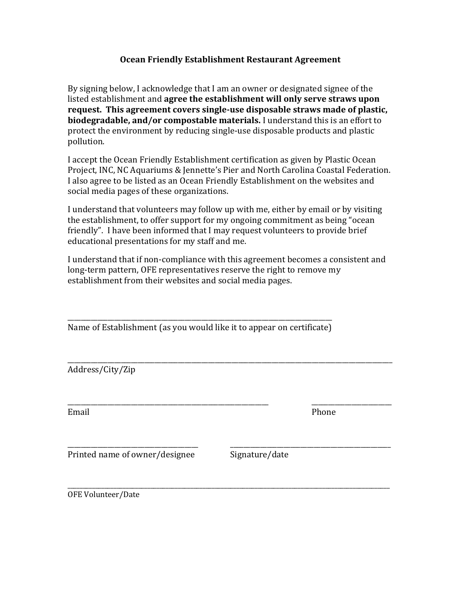## **Ocean Friendly Establishment Restaurant Agreement**

By signing below, I acknowledge that I am an owner or designated signee of the listed establishment and **agree the establishment will only serve straws upon request. This agreement covers single-use disposable straws made of plastic, biodegradable, and/or compostable materials.** I understand this is an effort to protect the environment by reducing single-use disposable products and plastic pollution.

I accept the Ocean Friendly Establishment certification as given by Plastic Ocean Project, INC, NC Aquariums & Jennette's Pier and North Carolina Coastal Federation. I also agree to be listed as an Ocean Friendly Establishment on the websites and social media pages of these organizations.

I understand that volunteers may follow up with me, either by email or by visiting the establishment, to offer support for my ongoing commitment as being "ocean friendly". I have been informed that I may request volunteers to provide brief educational presentations for my staff and me.

I understand that if non-compliance with this agreement becomes a consistent and long-term pattern, OFE representatives reserve the right to remove my establishment from their websites and social media pages.

\_\_\_\_\_\_\_\_\_\_\_\_\_\_\_\_\_\_\_\_\_\_\_\_\_\_\_\_\_\_\_\_\_\_\_\_\_\_\_\_\_\_\_\_\_\_\_\_\_\_\_\_\_\_\_\_\_\_\_\_\_\_\_\_\_\_\_\_\_\_\_\_\_\_\_\_\_\_\_\_\_\_\_\_\_\_\_\_\_\_\_\_\_\_\_\_\_

\_\_\_\_\_\_\_\_\_\_\_\_\_\_\_\_\_\_\_\_\_\_\_\_\_\_\_\_\_\_\_\_\_\_\_\_\_\_\_\_\_\_\_\_\_\_\_\_\_\_\_\_\_\_\_\_\_\_\_\_ \_\_\_\_\_\_\_\_\_\_\_\_\_\_\_\_\_\_\_\_\_\_\_\_

\_\_\_\_\_\_\_\_\_\_\_\_\_\_\_\_\_\_\_\_\_\_\_\_\_\_\_\_\_\_\_\_\_\_\_\_\_\_\_ \_\_\_\_\_\_\_\_\_\_\_\_\_\_\_\_\_\_\_\_\_\_\_\_\_\_\_\_\_\_\_\_\_\_\_\_\_\_\_\_\_\_\_\_\_\_\_\_

\_\_\_\_\_\_\_\_\_\_\_\_\_\_\_\_\_\_\_\_\_\_\_\_\_\_\_\_\_\_\_\_\_\_\_\_\_\_\_\_\_\_\_\_\_\_\_\_\_\_\_\_\_\_\_\_\_\_\_\_\_\_\_\_\_\_\_\_\_\_\_\_\_\_\_\_\_\_\_ Name of Establishment (as you would like it to appear on certificate)

Address/City/Zip

Email Phone

Printed name of owner/designee Signature/date

\_\_\_\_\_\_\_\_\_\_\_\_\_\_\_\_\_\_\_\_\_\_\_\_\_\_\_\_\_\_\_\_\_\_\_\_\_\_\_\_\_\_\_\_\_\_\_\_\_\_\_\_\_\_\_\_\_\_\_\_\_\_\_\_\_\_\_\_\_\_\_\_\_\_\_\_\_\_\_\_\_\_\_\_\_\_\_\_\_\_\_\_\_\_\_\_\_\_\_\_\_\_\_\_\_ OFE Volunteer/Date